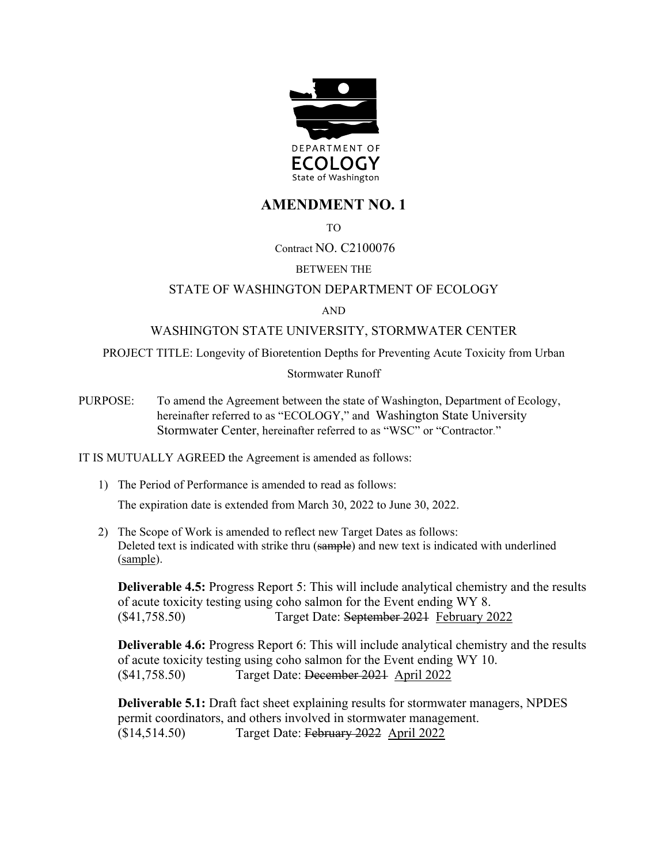

# **AMENDMENT NO. 1**

TO

# Contract NO. C2100076

# BETWEEN THE

## STATE OF WASHINGTON DEPARTMENT OF ECOLOGY

#### AND

## WASHINGTON STATE UNIVERSITY, STORMWATER CENTER

PROJECT TITLE: Longevity of Bioretention Depths for Preventing Acute Toxicity from Urban

#### Stormwater Runoff

PURPOSE: To amend the Agreement between the state of Washington, Department of Ecology, hereinafter referred to as "ECOLOGY," and Washington State University Stormwater Center, hereinafter referred to as "WSC" or "Contractor."

IT IS MUTUALLY AGREED the Agreement is amended as follows:

- 1) The Period of Performance is amended to read as follows: The expiration date is extended from March 30, 2022 to June 30, 2022.
- 2) The Scope of Work is amended to reflect new Target Dates as follows: Deleted text is indicated with strike thru (sample) and new text is indicated with underlined (sample).

**Deliverable 4.5:** Progress Report 5: This will include analytical chemistry and the results of acute toxicity testing using coho salmon for the Event ending WY 8. (\$41,758.50) Target Date: September 2021 February 2022

**Deliverable 4.6:** Progress Report 6: This will include analytical chemistry and the results of acute toxicity testing using coho salmon for the Event ending WY 10. (\$41,758.50) Target Date: December 2021 April 2022

**Deliverable 5.1:** Draft fact sheet explaining results for stormwater managers, NPDES permit coordinators, and others involved in stormwater management. (\$14,514.50) Target Date: February 2022 April 2022